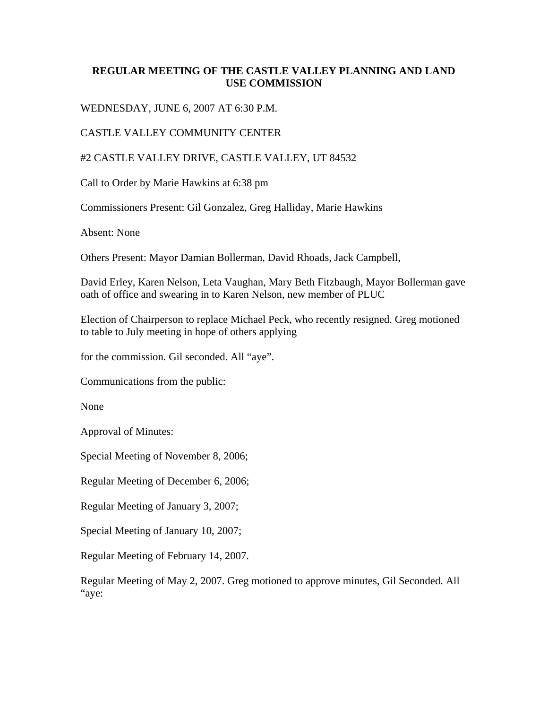## **REGULAR MEETING OF THE CASTLE VALLEY PLANNING AND LAND USE COMMISSION**

WEDNESDAY, JUNE 6, 2007 AT 6:30 P.M.

## CASTLE VALLEY COMMUNITY CENTER

## #2 CASTLE VALLEY DRIVE, CASTLE VALLEY, UT 84532

Call to Order by Marie Hawkins at 6:38 pm

Commissioners Present: Gil Gonzalez, Greg Halliday, Marie Hawkins

Absent: None

Others Present: Mayor Damian Bollerman, David Rhoads, Jack Campbell,

David Erley, Karen Nelson, Leta Vaughan, Mary Beth Fitzbaugh, Mayor Bollerman gave oath of office and swearing in to Karen Nelson, new member of PLUC

Election of Chairperson to replace Michael Peck, who recently resigned. Greg motioned to table to July meeting in hope of others applying

for the commission. Gil seconded. All "aye".

Communications from the public:

None

Approval of Minutes:

Special Meeting of November 8, 2006;

Regular Meeting of December 6, 2006;

Regular Meeting of January 3, 2007;

Special Meeting of January 10, 2007;

Regular Meeting of February 14, 2007.

Regular Meeting of May 2, 2007. Greg motioned to approve minutes, Gil Seconded. All "aye: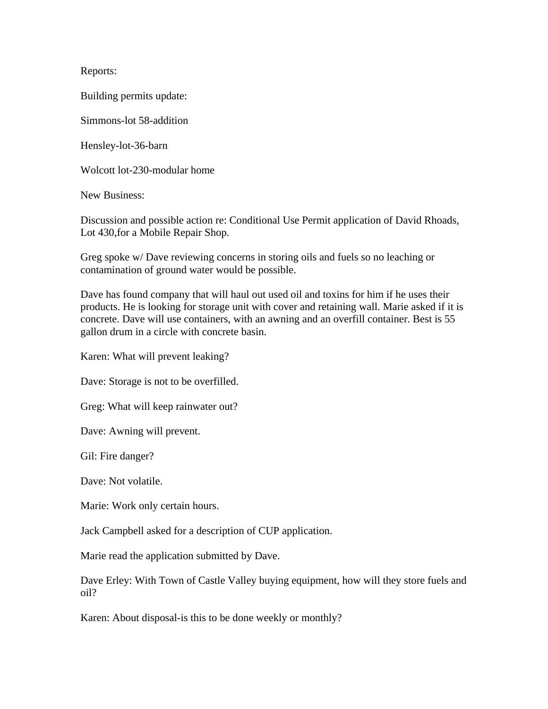Reports:

Building permits update:

Simmons-lot 58-addition

Hensley-lot-36-barn

Wolcott lot-230-modular home

New Business:

Discussion and possible action re: Conditional Use Permit application of David Rhoads, Lot 430,for a Mobile Repair Shop.

Greg spoke w/ Dave reviewing concerns in storing oils and fuels so no leaching or contamination of ground water would be possible.

Dave has found company that will haul out used oil and toxins for him if he uses their products. He is looking for storage unit with cover and retaining wall. Marie asked if it is concrete. Dave will use containers, with an awning and an overfill container. Best is 55 gallon drum in a circle with concrete basin.

Karen: What will prevent leaking?

Dave: Storage is not to be overfilled.

Greg: What will keep rainwater out?

Dave: Awning will prevent.

Gil: Fire danger?

Dave: Not volatile.

Marie: Work only certain hours.

Jack Campbell asked for a description of CUP application.

Marie read the application submitted by Dave.

Dave Erley: With Town of Castle Valley buying equipment, how will they store fuels and oil?

Karen: About disposal-is this to be done weekly or monthly?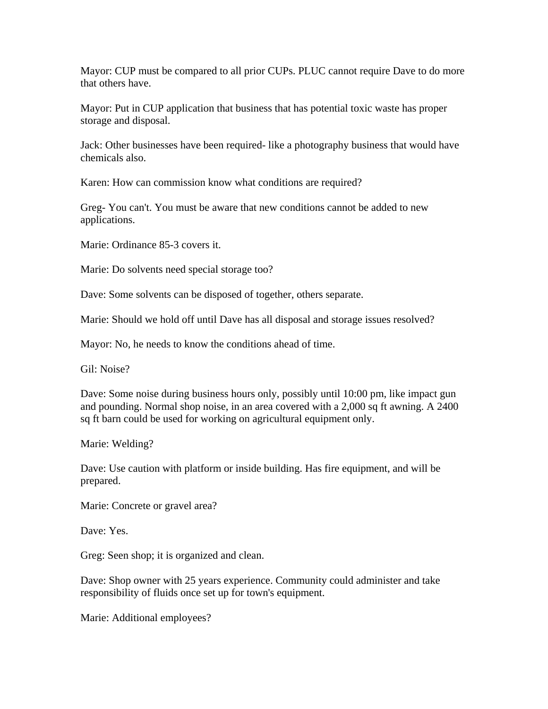Mayor: CUP must be compared to all prior CUPs. PLUC cannot require Dave to do more that others have.

Mayor: Put in CUP application that business that has potential toxic waste has proper storage and disposal.

Jack: Other businesses have been required- like a photography business that would have chemicals also.

Karen: How can commission know what conditions are required?

Greg- You can't. You must be aware that new conditions cannot be added to new applications.

Marie: Ordinance 85-3 covers it.

Marie: Do solvents need special storage too?

Dave: Some solvents can be disposed of together, others separate.

Marie: Should we hold off until Dave has all disposal and storage issues resolved?

Mayor: No, he needs to know the conditions ahead of time.

Gil: Noise?

Dave: Some noise during business hours only, possibly until 10:00 pm, like impact gun and pounding. Normal shop noise, in an area covered with a 2,000 sq ft awning. A 2400 sq ft barn could be used for working on agricultural equipment only.

Marie: Welding?

Dave: Use caution with platform or inside building. Has fire equipment, and will be prepared.

Marie: Concrete or gravel area?

Dave: Yes.

Greg: Seen shop; it is organized and clean.

Dave: Shop owner with 25 years experience. Community could administer and take responsibility of fluids once set up for town's equipment.

Marie: Additional employees?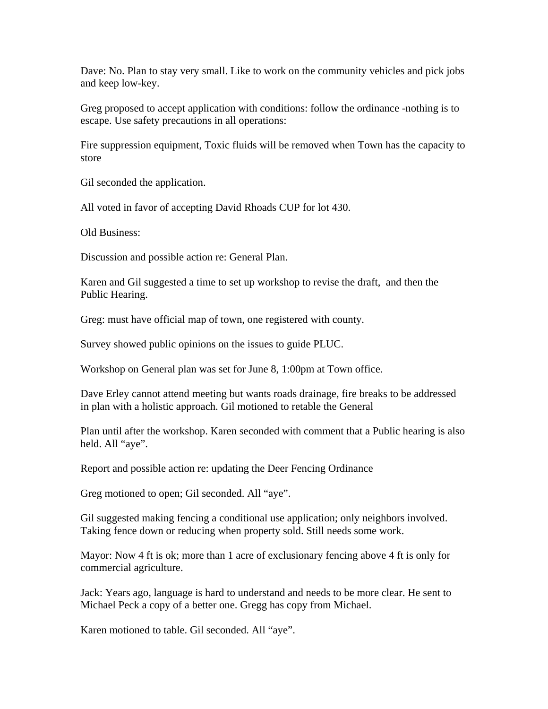Dave: No. Plan to stay very small. Like to work on the community vehicles and pick jobs and keep low-key.

Greg proposed to accept application with conditions: follow the ordinance -nothing is to escape. Use safety precautions in all operations:

Fire suppression equipment, Toxic fluids will be removed when Town has the capacity to store

Gil seconded the application.

All voted in favor of accepting David Rhoads CUP for lot 430.

Old Business:

Discussion and possible action re: General Plan.

Karen and Gil suggested a time to set up workshop to revise the draft, and then the Public Hearing.

Greg: must have official map of town, one registered with county.

Survey showed public opinions on the issues to guide PLUC.

Workshop on General plan was set for June 8, 1:00pm at Town office.

Dave Erley cannot attend meeting but wants roads drainage, fire breaks to be addressed in plan with a holistic approach. Gil motioned to retable the General

Plan until after the workshop. Karen seconded with comment that a Public hearing is also held. All "aye".

Report and possible action re: updating the Deer Fencing Ordinance

Greg motioned to open; Gil seconded. All "aye".

Gil suggested making fencing a conditional use application; only neighbors involved. Taking fence down or reducing when property sold. Still needs some work.

Mayor: Now 4 ft is ok; more than 1 acre of exclusionary fencing above 4 ft is only for commercial agriculture.

Jack: Years ago, language is hard to understand and needs to be more clear. He sent to Michael Peck a copy of a better one. Gregg has copy from Michael.

Karen motioned to table. Gil seconded. All "aye".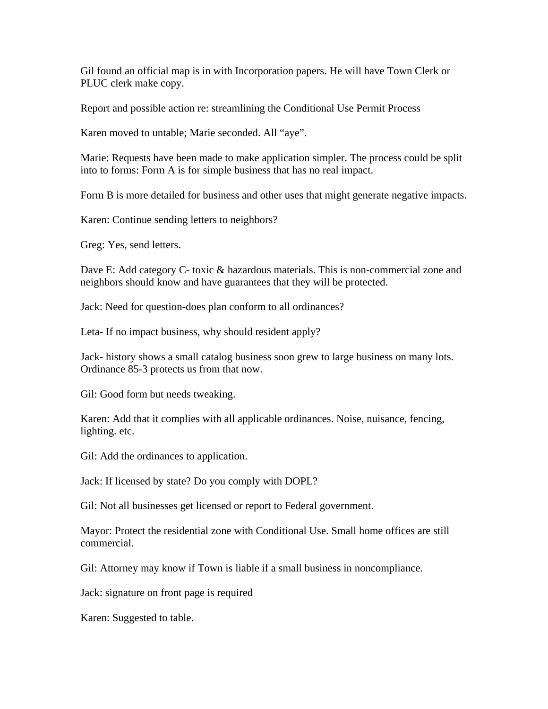Gil found an official map is in with Incorporation papers. He will have Town Clerk or PLUC clerk make copy.

Report and possible action re: streamlining the Conditional Use Permit Process

Karen moved to untable; Marie seconded. All "aye".

Marie: Requests have been made to make application simpler. The process could be split into to forms: Form A is for simple business that has no real impact.

Form B is more detailed for business and other uses that might generate negative impacts.

Karen: Continue sending letters to neighbors?

Greg: Yes, send letters.

Dave E: Add category C- toxic & hazardous materials. This is non-commercial zone and neighbors should know and have guarantees that they will be protected.

Jack: Need for question-does plan conform to all ordinances?

Leta- If no impact business, why should resident apply?

Jack- history shows a small catalog business soon grew to large business on many lots. Ordinance 85-3 protects us from that now.

Gil: Good form but needs tweaking.

Karen: Add that it complies with all applicable ordinances. Noise, nuisance, fencing, lighting. etc.

Gil: Add the ordinances to application.

Jack: If licensed by state? Do you comply with DOPL?

Gil: Not all businesses get licensed or report to Federal government.

Mayor: Protect the residential zone with Conditional Use. Small home offices are still commercial.

Gil: Attorney may know if Town is liable if a small business in noncompliance.

Jack: signature on front page is required

Karen: Suggested to table.